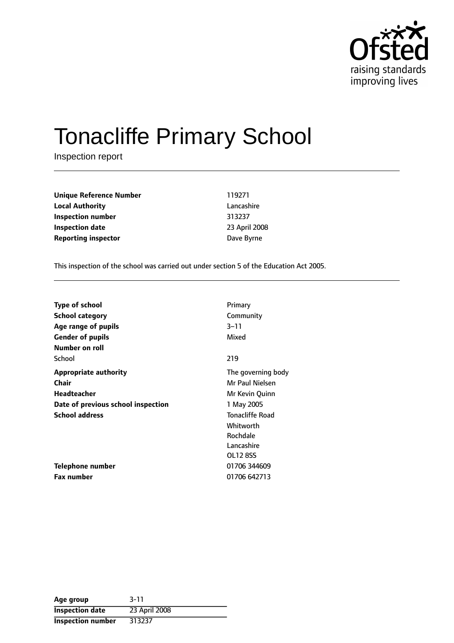

# Tonacliffe Primary School

Inspection report

| 119271        |
|---------------|
| Lancashire    |
| 313237        |
| 23 April 2008 |
| Dave Byrne    |
|               |

This inspection of the school was carried out under section 5 of the Education Act 2005.

| <b>Type of school</b>              | Primary                |
|------------------------------------|------------------------|
| <b>School category</b>             | Community              |
| Age range of pupils                | $3 - 11$               |
| <b>Gender of pupils</b>            | Mixed                  |
| Number on roll                     |                        |
| School                             | 219                    |
| <b>Appropriate authority</b>       | The governing body     |
| <b>Chair</b>                       | Mr Paul Nielsen        |
| Headteacher                        | Mr Kevin Quinn         |
| Date of previous school inspection | 1 May 2005             |
| <b>School address</b>              | <b>Tonacliffe Road</b> |
|                                    | Whitworth              |
|                                    | Rochdale               |
|                                    | Lancashire             |
|                                    | OL12 8SS               |
| Telephone number                   | 01706 344609           |
| Fax number                         | 01706 642713           |

| Age group                | $3 - 11$      |
|--------------------------|---------------|
| <b>Inspection date</b>   | 23 April 2008 |
| <b>Inspection number</b> | 313237        |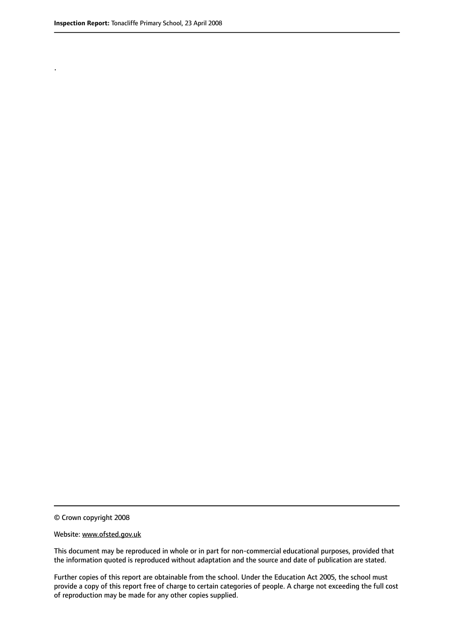.

© Crown copyright 2008

#### Website: www.ofsted.gov.uk

This document may be reproduced in whole or in part for non-commercial educational purposes, provided that the information quoted is reproduced without adaptation and the source and date of publication are stated.

Further copies of this report are obtainable from the school. Under the Education Act 2005, the school must provide a copy of this report free of charge to certain categories of people. A charge not exceeding the full cost of reproduction may be made for any other copies supplied.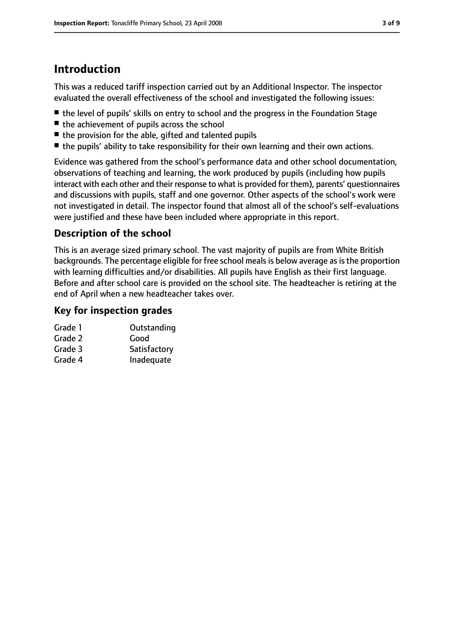# **Introduction**

This was a reduced tariff inspection carried out by an Additional Inspector. The inspector evaluated the overall effectiveness of the school and investigated the following issues:

- the level of pupils' skills on entry to school and the progress in the Foundation Stage
- the achievement of pupils across the school
- the provision for the able, gifted and talented pupils
- the pupils' ability to take responsibility for their own learning and their own actions.

Evidence was gathered from the school's performance data and other school documentation, observations of teaching and learning, the work produced by pupils (including how pupils interact with each other and their response to what is provided for them), parents' questionnaires and discussions with pupils, staff and one governor. Other aspects of the school's work were not investigated in detail. The inspector found that almost all of the school's self-evaluations were justified and these have been included where appropriate in this report.

## **Description of the school**

This is an average sized primary school. The vast majority of pupils are from White British backgrounds. The percentage eligible for free school meals is below average as is the proportion with learning difficulties and/or disabilities. All pupils have English as their first language. Before and after school care is provided on the school site. The headteacher is retiring at the end of April when a new headteacher takes over.

## **Key for inspection grades**

| Grade 1 | Outstanding  |
|---------|--------------|
| Grade 2 | Good         |
| Grade 3 | Satisfactory |
| Grade 4 | Inadequate   |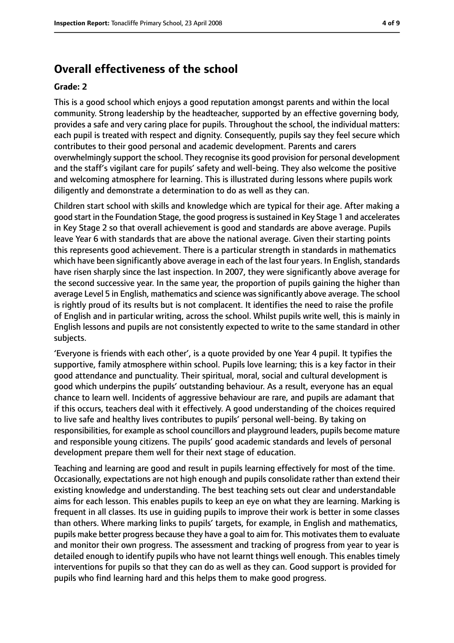## **Overall effectiveness of the school**

#### **Grade: 2**

This is a good school which enjoys a good reputation amongst parents and within the local community. Strong leadership by the headteacher, supported by an effective governing body, provides a safe and very caring place for pupils. Throughout the school, the individual matters: each pupil is treated with respect and dignity. Consequently, pupils say they feel secure which contributes to their good personal and academic development. Parents and carers overwhelmingly support the school. They recognise its good provision for personal development and the staff's vigilant care for pupils' safety and well-being. They also welcome the positive and welcoming atmosphere for learning. This is illustrated during lessons where pupils work diligently and demonstrate a determination to do as well as they can.

Children start school with skills and knowledge which are typical for their age. After making a good start in the Foundation Stage, the good progressissustained in Key Stage 1 and accelerates in Key Stage 2 so that overall achievement is good and standards are above average. Pupils leave Year 6 with standards that are above the national average. Given their starting points this represents good achievement. There is a particular strength in standards in mathematics which have been significantly above average in each of the last four years. In English, standards have risen sharply since the last inspection. In 2007, they were significantly above average for the second successive year. In the same year, the proportion of pupils gaining the higher than average Level 5 in English, mathematics and science was significantly above average. The school is rightly proud of its results but is not complacent. It identifies the need to raise the profile of English and in particular writing, across the school. Whilst pupils write well, this is mainly in English lessons and pupils are not consistently expected to write to the same standard in other subjects.

'Everyone is friends with each other', is a quote provided by one Year 4 pupil. It typifies the supportive, family atmosphere within school. Pupils love learning; this is a key factor in their good attendance and punctuality. Their spiritual, moral, social and cultural development is good which underpins the pupils' outstanding behaviour. As a result, everyone has an equal chance to learn well. Incidents of aggressive behaviour are rare, and pupils are adamant that if this occurs, teachers deal with it effectively. A good understanding of the choices required to live safe and healthy lives contributes to pupils' personal well-being. By taking on responsibilities, for example as school councillors and playground leaders, pupils become mature and responsible young citizens. The pupils' good academic standards and levels of personal development prepare them well for their next stage of education.

Teaching and learning are good and result in pupils learning effectively for most of the time. Occasionally, expectations are not high enough and pupils consolidate rather than extend their existing knowledge and understanding. The best teaching sets out clear and understandable aims for each lesson. This enables pupils to keep an eye on what they are learning. Marking is frequent in all classes. Its use in guiding pupils to improve their work is better in some classes than others. Where marking links to pupils' targets, for example, in English and mathematics, pupils make better progress because they have a goal to aim for. This motivates them to evaluate and monitor their own progress. The assessment and tracking of progress from year to year is detailed enough to identify pupils who have not learnt things well enough. This enables timely interventions for pupils so that they can do as well as they can. Good support is provided for pupils who find learning hard and this helps them to make good progress.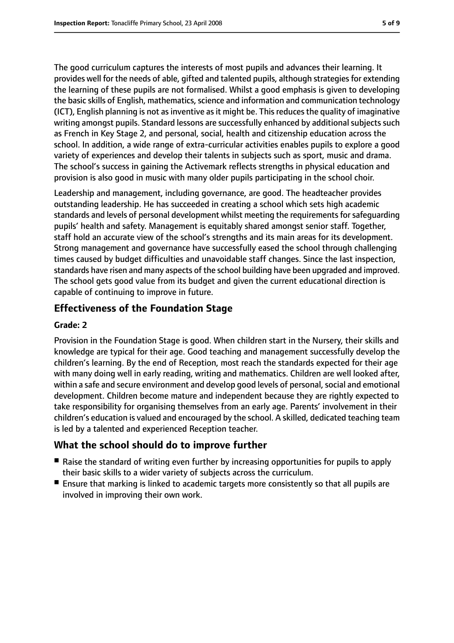The good curriculum captures the interests of most pupils and advances their learning. It provides well for the needs of able, gifted and talented pupils, although strategies for extending the learning of these pupils are not formalised. Whilst a good emphasis is given to developing the basic skills of English, mathematics, science and information and communication technology (ICT), English planning is not asinventive asit might be. Thisreducesthe quality of imaginative writing amongst pupils. Standard lessons are successfully enhanced by additional subjects such as French in Key Stage 2, and personal, social, health and citizenship education across the school. In addition, a wide range of extra-curricular activities enables pupils to explore a good variety of experiences and develop their talents in subjects such as sport, music and drama. The school's success in gaining the Activemark reflects strengths in physical education and provision is also good in music with many older pupils participating in the school choir.

Leadership and management, including governance, are good. The headteacher provides outstanding leadership. He has succeeded in creating a school which sets high academic standards and levels of personal development whilst meeting the requirements for safequarding pupils' health and safety. Management is equitably shared amongst senior staff. Together, staff hold an accurate view of the school's strengths and its main areas for its development. Strong management and governance have successfully eased the school through challenging times caused by budget difficulties and unavoidable staff changes. Since the last inspection, standards have risen and many aspects of the school building have been upgraded and improved. The school gets good value from its budget and given the current educational direction is capable of continuing to improve in future.

## **Effectiveness of the Foundation Stage**

#### **Grade: 2**

Provision in the Foundation Stage is good. When children start in the Nursery, their skills and knowledge are typical for their age. Good teaching and management successfully develop the children's learning. By the end of Reception, most reach the standards expected for their age with many doing well in early reading, writing and mathematics. Children are well looked after, within a safe and secure environment and develop good levels of personal, social and emotional development. Children become mature and independent because they are rightly expected to take responsibility for organising themselves from an early age. Parents' involvement in their children's education is valued and encouraged by the school. A skilled, dedicated teaching team is led by a talented and experienced Reception teacher.

## **What the school should do to improve further**

- Raise the standard of writing even further by increasing opportunities for pupils to apply their basic skills to a wider variety of subjects across the curriculum.
- Ensure that marking is linked to academic targets more consistently so that all pupils are involved in improving their own work.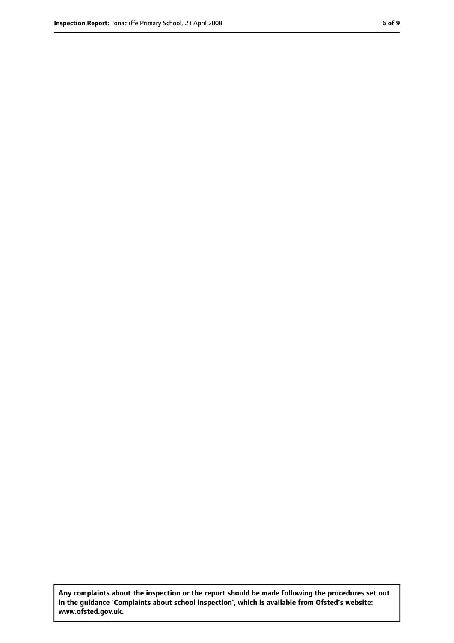**Any complaints about the inspection or the report should be made following the procedures set out in the guidance 'Complaints about school inspection', which is available from Ofsted's website: www.ofsted.gov.uk.**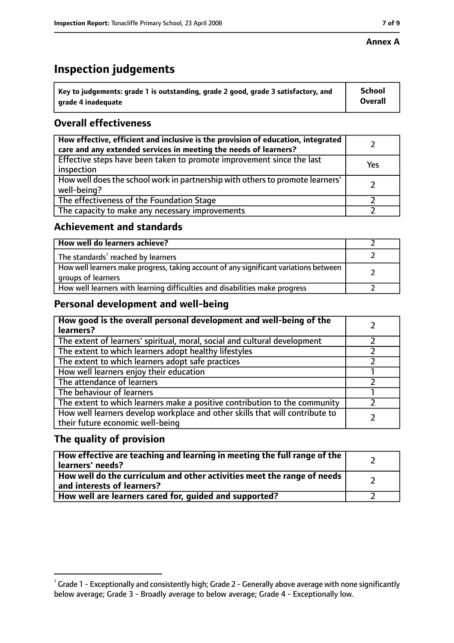#### **Annex A**

# **Inspection judgements**

| $^{\circ}$ Key to judgements: grade 1 is outstanding, grade 2 good, grade 3 satisfactory, and | <b>School</b>  |
|-----------------------------------------------------------------------------------------------|----------------|
| arade 4 inadequate                                                                            | <b>Overall</b> |

## **Overall effectiveness**

| How effective, efficient and inclusive is the provision of education, integrated<br>care and any extended services in meeting the needs of learners? |     |
|------------------------------------------------------------------------------------------------------------------------------------------------------|-----|
| Effective steps have been taken to promote improvement since the last<br>inspection                                                                  | Yes |
| How well does the school work in partnership with others to promote learners'<br>well-being?                                                         |     |
| The effectiveness of the Foundation Stage                                                                                                            |     |
| The capacity to make any necessary improvements                                                                                                      |     |

### **Achievement and standards**

| How well do learners achieve?                                                                               |  |
|-------------------------------------------------------------------------------------------------------------|--|
| The standards <sup>1</sup> reached by learners                                                              |  |
| How well learners make progress, taking account of any significant variations between<br>groups of learners |  |
| How well learners with learning difficulties and disabilities make progress                                 |  |

## **Personal development and well-being**

| How good is the overall personal development and well-being of the<br>learners?                                  |  |
|------------------------------------------------------------------------------------------------------------------|--|
| The extent of learners' spiritual, moral, social and cultural development                                        |  |
| The extent to which learners adopt healthy lifestyles                                                            |  |
| The extent to which learners adopt safe practices                                                                |  |
| How well learners enjoy their education                                                                          |  |
| The attendance of learners                                                                                       |  |
| The behaviour of learners                                                                                        |  |
| The extent to which learners make a positive contribution to the community                                       |  |
| How well learners develop workplace and other skills that will contribute to<br>their future economic well-being |  |

## **The quality of provision**

| How effective are teaching and learning in meeting the full range of the<br>learners' needs?          |  |
|-------------------------------------------------------------------------------------------------------|--|
| How well do the curriculum and other activities meet the range of needs<br>and interests of learners? |  |
| How well are learners cared for, quided and supported?                                                |  |

 $^1$  Grade 1 - Exceptionally and consistently high; Grade 2 - Generally above average with none significantly below average; Grade 3 - Broadly average to below average; Grade 4 - Exceptionally low.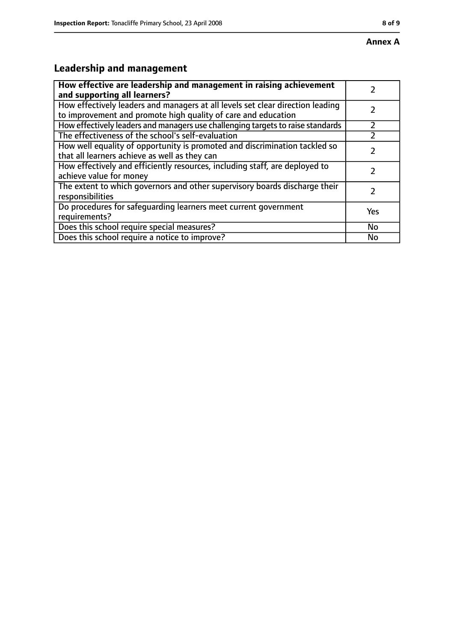# **Leadership and management**

| How effective are leadership and management in raising achievement<br>and supporting all learners?                                              |     |
|-------------------------------------------------------------------------------------------------------------------------------------------------|-----|
| How effectively leaders and managers at all levels set clear direction leading<br>to improvement and promote high quality of care and education |     |
| How effectively leaders and managers use challenging targets to raise standards                                                                 |     |
| The effectiveness of the school's self-evaluation                                                                                               |     |
| How well equality of opportunity is promoted and discrimination tackled so<br>that all learners achieve as well as they can                     |     |
| How effectively and efficiently resources, including staff, are deployed to<br>achieve value for money                                          |     |
| The extent to which governors and other supervisory boards discharge their<br>responsibilities                                                  |     |
| Do procedures for safequarding learners meet current government<br>requirements?                                                                | Yes |
| Does this school require special measures?                                                                                                      | No  |
| Does this school require a notice to improve?                                                                                                   | No  |